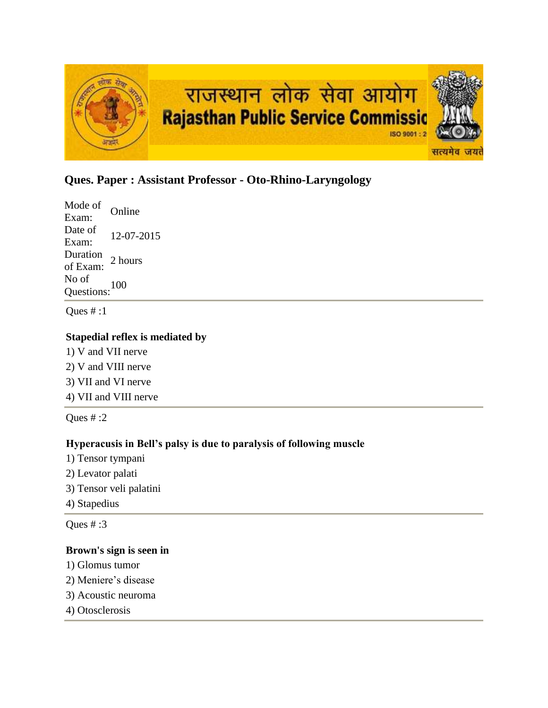

# **Ques. Paper : Assistant Professor - Oto-Rhino-Laryngology**

Mode of Exam: Online Date of  $\frac{\text{Date of}}{\text{Exam:}}$  12-07-2015 Duration<br>of Exam: 2 hours No of Questions:<sup>100</sup>

Ques # :1

### **Stapedial reflex is mediated by**

- 1) V and VII nerve 2) V and VIII nerve
- 3) VII and VI nerve
- 4) VII and VIII nerve

Ques  $\#$  :2

### **Hyperacusis in Bell's palsy is due to paralysis of following muscle**

- 1) Tensor tympani
- 2) Levator palati
- 3) Tensor veli palatini
- 4) Stapedius

Ques # :3

### **Brown's sign is seen in**

- 1) Glomus tumor
- 2) Meniere's disease
- 3) Acoustic neuroma
- 4) Otosclerosis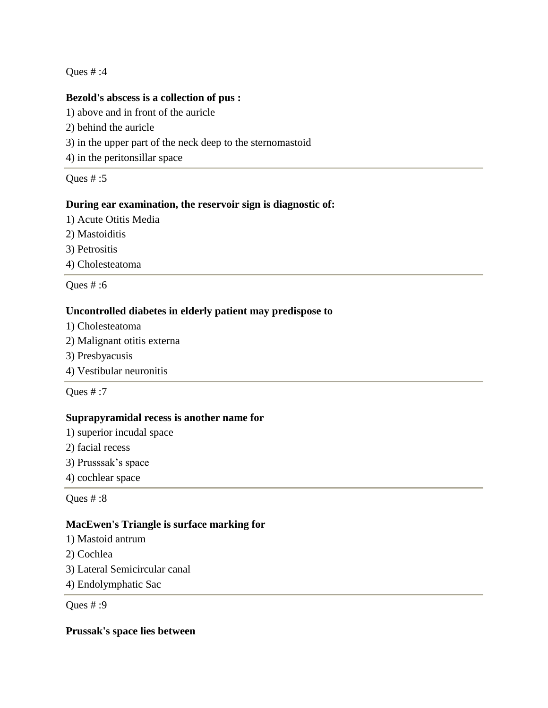### **Bezold's abscess is a collection of pus :**

1) above and in front of the auricle

- 2) behind the auricle
- 3) in the upper part of the neck deep to the sternomastoid
- 4) in the peritonsillar space

Ques # :5

### **During ear examination, the reservoir sign is diagnostic of:**

- 1) Acute Otitis Media
- 2) Mastoiditis
- 3) Petrositis
- 4) Cholesteatoma

Ques # :6

### **Uncontrolled diabetes in elderly patient may predispose to**

- 1) Cholesteatoma
- 2) Malignant otitis externa
- 3) Presbyacusis
- 4) Vestibular neuronitis

Ques # :7

### **Suprapyramidal recess is another name for**

- 1) superior incudal space
- 2) facial recess
- 3) Prusssak's space
- 4) cochlear space

Ques # :8

### **MacEwen's Triangle is surface marking for**

- 1) Mastoid antrum
- 2) Cochlea
- 3) Lateral Semicircular canal
- 4) Endolymphatic Sac

Ques # :9

**Prussak's space lies between**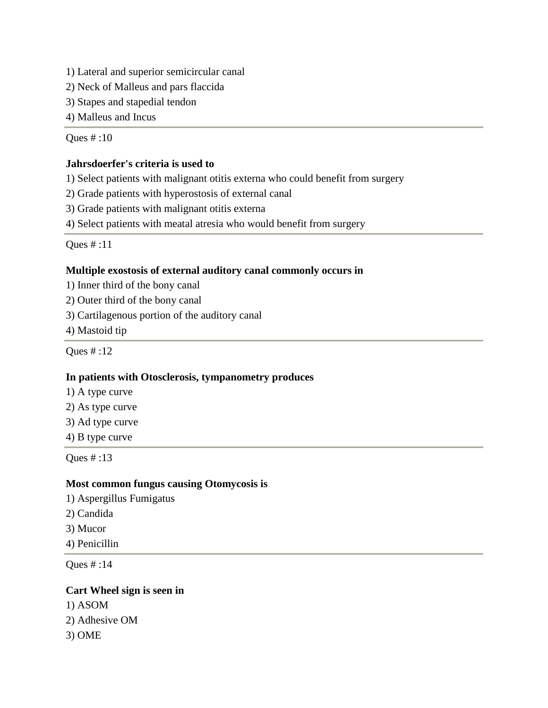1) Lateral and superior semicircular canal

2) Neck of Malleus and pars flaccida

3) Stapes and stapedial tendon

4) Malleus and Incus

Ques # :10

#### **Jahrsdoerfer's criteria is used to**

1) Select patients with malignant otitis externa who could benefit from surgery

2) Grade patients with hyperostosis of external canal

3) Grade patients with malignant otitis externa

4) Select patients with meatal atresia who would benefit from surgery

Ques # :11

#### **Multiple exostosis of external auditory canal commonly occurs in**

1) Inner third of the bony canal

- 2) Outer third of the bony canal
- 3) Cartilagenous portion of the auditory canal
- 4) Mastoid tip

Ques # :12

#### **In patients with Otosclerosis, tympanometry produces**

- 1) A type curve
- 2) As type curve
- 3) Ad type curve

4) B type curve

Ques # :13

#### **Most common fungus causing Otomycosis is**

- 1) Aspergillus Fumigatus
- 2) Candida
- 3) Mucor
- 4) Penicillin

Ques # :14

#### **Cart Wheel sign is seen in**

1) ASOM 2) Adhesive OM 3) OME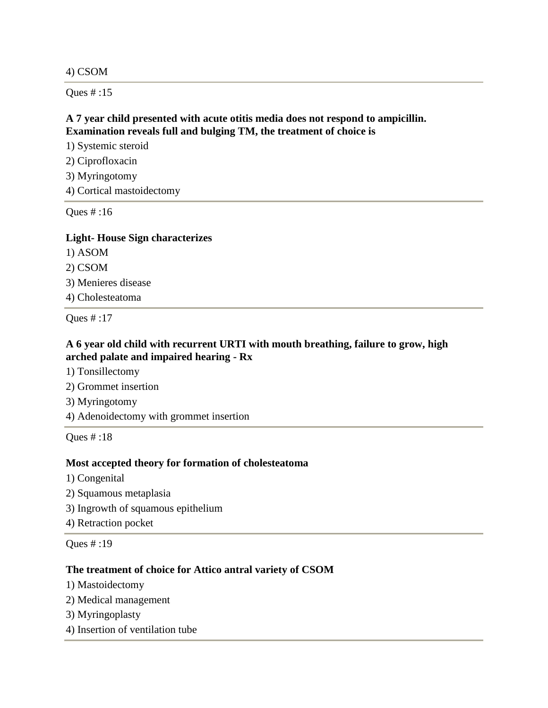4) CSOM

Ques # :15

## **A 7 year child presented with acute otitis media does not respond to ampicillin. Examination reveals full and bulging TM, the treatment of choice is**

1) Systemic steroid

2) Ciprofloxacin

3) Myringotomy

4) Cortical mastoidectomy

Ques # :16

#### **Light- House Sign characterizes**

1) ASOM

2) CSOM

3) Menieres disease

4) Cholesteatoma

Ques # :17

### **A 6 year old child with recurrent URTI with mouth breathing, failure to grow, high arched palate and impaired hearing - Rx**

1) Tonsillectomy

2) Grommet insertion

3) Myringotomy

4) Adenoidectomy with grommet insertion

Ques # :18

### **Most accepted theory for formation of cholesteatoma**

- 1) Congenital
- 2) Squamous metaplasia
- 3) Ingrowth of squamous epithelium

4) Retraction pocket

Ques # :19

### **The treatment of choice for Attico antral variety of CSOM**

- 1) Mastoidectomy
- 2) Medical management
- 3) Myringoplasty
- 4) Insertion of ventilation tube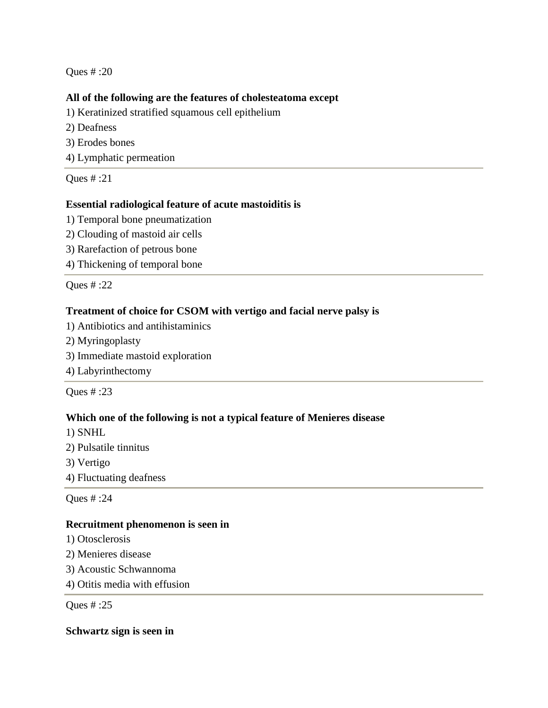### **All of the following are the features of cholesteatoma except**

1) Keratinized stratified squamous cell epithelium

- 2) Deafness
- 3) Erodes bones
- 4) Lymphatic permeation

Ques # :21

### **Essential radiological feature of acute mastoiditis is**

- 1) Temporal bone pneumatization
- 2) Clouding of mastoid air cells
- 3) Rarefaction of petrous bone
- 4) Thickening of temporal bone

Ques # :22

### **Treatment of choice for CSOM with vertigo and facial nerve palsy is**

- 1) Antibiotics and antihistaminics
- 2) Myringoplasty
- 3) Immediate mastoid exploration

4) Labyrinthectomy

Ques # :23

### **Which one of the following is not a typical feature of Menieres disease**

1) SNHL

- 2) Pulsatile tinnitus
- 3) Vertigo
- 4) Fluctuating deafness

Ques # :24

### **Recruitment phenomenon is seen in**

- 1) Otosclerosis
- 2) Menieres disease
- 3) Acoustic Schwannoma
- 4) Otitis media with effusion

Ques # :25

### **Schwartz sign is seen in**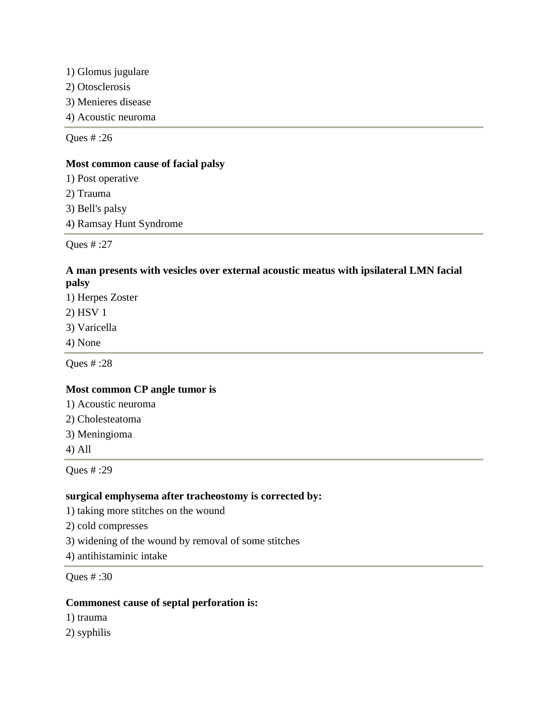1) Glomus jugulare

2) Otosclerosis

3) Menieres disease

4) Acoustic neuroma

Ques # :26

### **Most common cause of facial palsy**

1) Post operative 2) Trauma

3) Bell's palsy

4) Ramsay Hunt Syndrome

Ques # :27

### **A man presents with vesicles over external acoustic meatus with ipsilateral LMN facial palsy**

1) Herpes Zoster

2) HSV 1

- 3) Varicella
- 4) None

Ques # :28

### **Most common CP angle tumor is**

1) Acoustic neuroma

- 2) Cholesteatoma
- 3) Meningioma
- 4) All

Ques # :29

### **surgical emphysema after tracheostomy is corrected by:**

1) taking more stitches on the wound

2) cold compresses

3) widening of the wound by removal of some stitches

4) antihistaminic intake

Ques # :30

### **Commonest cause of septal perforation is:**

- 1) trauma
- 2) syphilis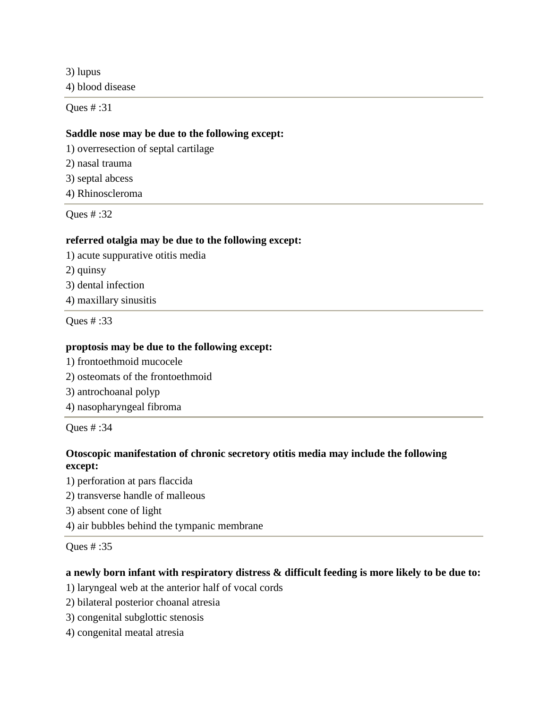3) lupus 4) blood disease

Ques # :31

### **Saddle nose may be due to the following except:**

1) overresection of septal cartilage

2) nasal trauma

3) septal abcess

4) Rhinoscleroma

Ques # :32

### **referred otalgia may be due to the following except:**

1) acute suppurative otitis media

2) quinsy

3) dental infection

4) maxillary sinusitis

Ques # :33

### **proptosis may be due to the following except:**

- 1) frontoethmoid mucocele
- 2) osteomats of the frontoethmoid
- 3) antrochoanal polyp
- 4) nasopharyngeal fibroma

Ques # :34

### **Otoscopic manifestation of chronic secretory otitis media may include the following except:**

1) perforation at pars flaccida

2) transverse handle of malleous

3) absent cone of light

4) air bubbles behind the tympanic membrane

Ques # :35

### **a newly born infant with respiratory distress & difficult feeding is more likely to be due to:**

- 1) laryngeal web at the anterior half of vocal cords
- 2) bilateral posterior choanal atresia
- 3) congenital subglottic stenosis
- 4) congenital meatal atresia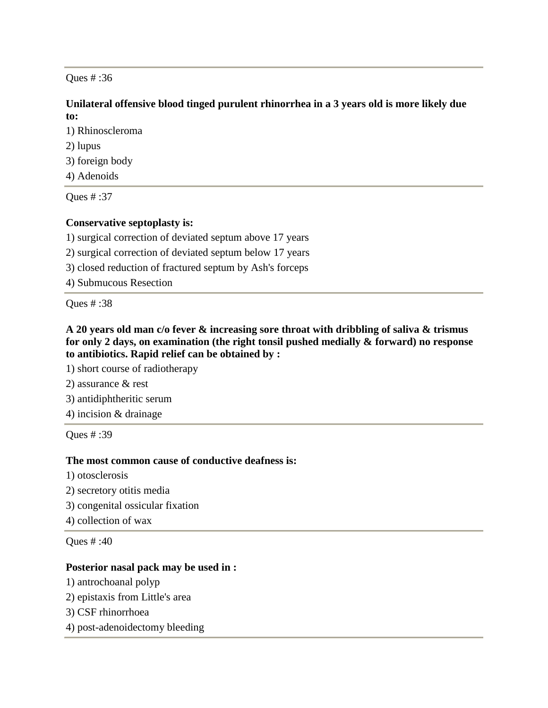### **Unilateral offensive blood tinged purulent rhinorrhea in a 3 years old is more likely due to:**

1) Rhinoscleroma

2) lupus

3) foreign body

4) Adenoids

Ques # :37

## **Conservative septoplasty is:**

1) surgical correction of deviated septum above 17 years

2) surgical correction of deviated septum below 17 years

3) closed reduction of fractured septum by Ash's forceps

4) Submucous Resection

Ques # :38

**A 20 years old man c/o fever & increasing sore throat with dribbling of saliva & trismus for only 2 days, on examination (the right tonsil pushed medially & forward) no response to antibiotics. Rapid relief can be obtained by :**

1) short course of radiotherapy

2) assurance & rest

3) antidiphtheritic serum

4) incision & drainage

Ques # :39

### **The most common cause of conductive deafness is:**

1) otosclerosis

- 2) secretory otitis media
- 3) congenital ossicular fixation

4) collection of wax

Ques # :40

### **Posterior nasal pack may be used in :**

- 1) antrochoanal polyp
- 2) epistaxis from Little's area
- 3) CSF rhinorrhoea
- 4) post-adenoidectomy bleeding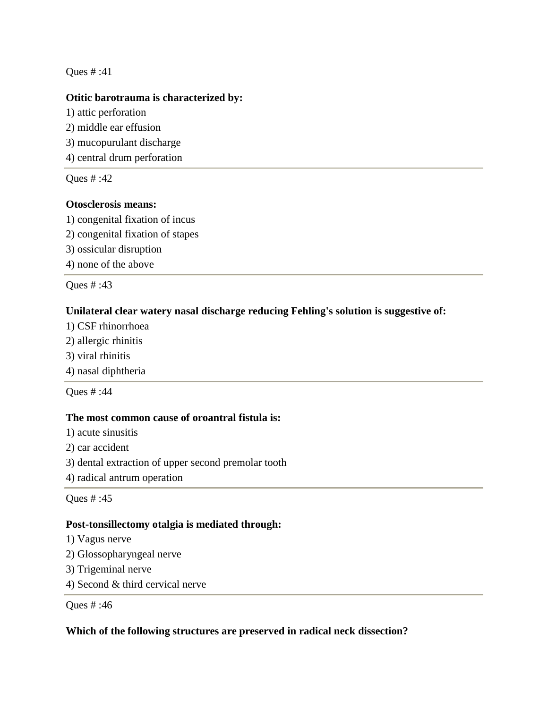### **Otitic barotrauma is characterized by:**

1) attic perforation 2) middle ear effusion 3) mucopurulant discharge 4) central drum perforation

Ques # :42

### **Otosclerosis means:**

1) congenital fixation of incus

- 2) congenital fixation of stapes
- 3) ossicular disruption

4) none of the above

Ques # :43

### **Unilateral clear watery nasal discharge reducing Fehling's solution is suggestive of:**

- 1) CSF rhinorrhoea
- 2) allergic rhinitis
- 3) viral rhinitis

4) nasal diphtheria

Ques # :44

### **The most common cause of oroantral fistula is:**

1) acute sinusitis

2) car accident

3) dental extraction of upper second premolar tooth

4) radical antrum operation

Ques # :45

### **Post-tonsillectomy otalgia is mediated through:**

- 1) Vagus nerve
- 2) Glossopharyngeal nerve
- 3) Trigeminal nerve
- 4) Second & third cervical nerve

Ques # :46

### **Which of the following structures are preserved in radical neck dissection?**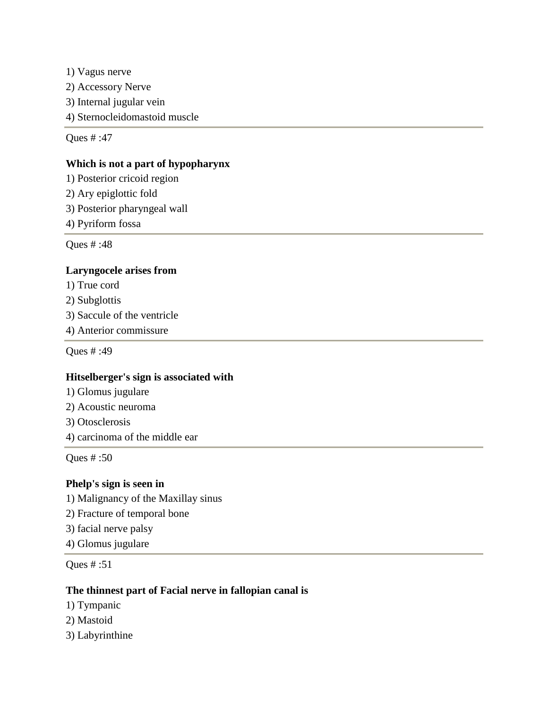1) Vagus nerve 2) Accessory Nerve 3) Internal jugular vein 4) Sternocleidomastoid muscle

Ques # :47

### **Which is not a part of hypopharynx**

1) Posterior cricoid region

- 2) Ary epiglottic fold
- 3) Posterior pharyngeal wall
- 4) Pyriform fossa

Ques # :48

### **Laryngocele arises from**

- 1) True cord
- 2) Subglottis
- 3) Saccule of the ventricle
- 4) Anterior commissure

Ques # :49

### **Hitselberger's sign is associated with**

- 1) Glomus jugulare
- 2) Acoustic neuroma
- 3) Otosclerosis
- 4) carcinoma of the middle ear

Ques # :50

### **Phelp's sign is seen in**

- 1) Malignancy of the Maxillay sinus
- 2) Fracture of temporal bone
- 3) facial nerve palsy
- 4) Glomus jugulare

Ques # :51

### **The thinnest part of Facial nerve in fallopian canal is**

- 1) Tympanic
- 2) Mastoid
- 3) Labyrinthine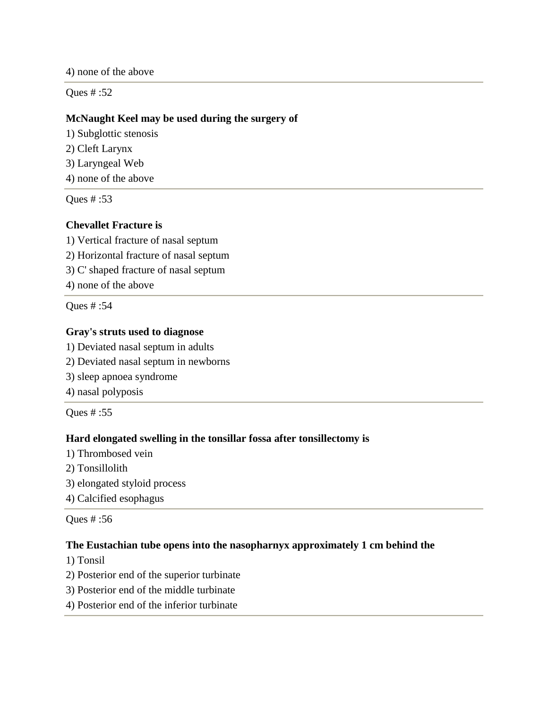4) none of the above

Ques # :52

### **McNaught Keel may be used during the surgery of**

1) Subglottic stenosis 2) Cleft Larynx

- 3) Laryngeal Web
- 4) none of the above

Ques # :53

## **Chevallet Fracture is**

1) Vertical fracture of nasal septum

2) Horizontal fracture of nasal septum

3) C' shaped fracture of nasal septum

4) none of the above

Ques # :54

### **Gray's struts used to diagnose**

- 1) Deviated nasal septum in adults
- 2) Deviated nasal septum in newborns
- 3) sleep apnoea syndrome
- 4) nasal polyposis

Ques # :55

### **Hard elongated swelling in the tonsillar fossa after tonsillectomy is**

- 1) Thrombosed vein
- 2) Tonsillolith
- 3) elongated styloid process
- 4) Calcified esophagus

Ques # :56

### **The Eustachian tube opens into the nasopharnyx approximately 1 cm behind the**

- 1) Tonsil
- 2) Posterior end of the superior turbinate
- 3) Posterior end of the middle turbinate
- 4) Posterior end of the inferior turbinate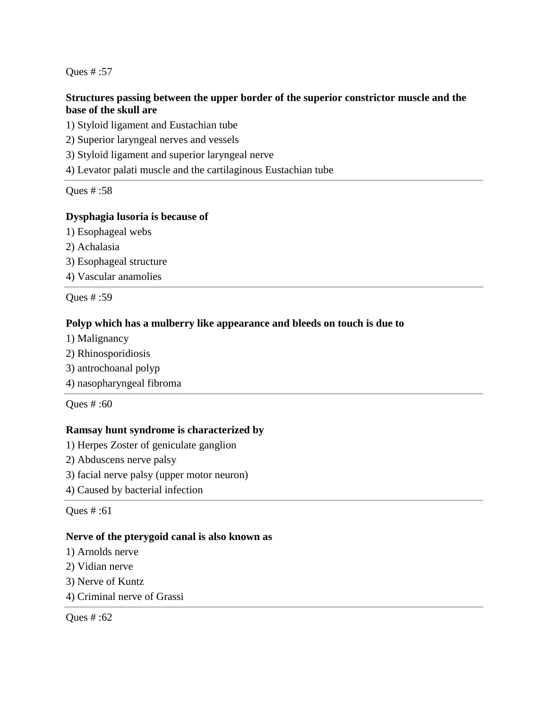### **Structures passing between the upper border of the superior constrictor muscle and the base of the skull are**

1) Styloid ligament and Eustachian tube

2) Superior laryngeal nerves and vessels

3) Styloid ligament and superior laryngeal nerve

4) Levator palati muscle and the cartilaginous Eustachian tube

Ques # :58

### **Dysphagia lusoria is because of**

- 1) Esophageal webs
- 2) Achalasia
- 3) Esophageal structure
- 4) Vascular anamolies

Ques # :59

### **Polyp which has a mulberry like appearance and bleeds on touch is due to**

- 1) Malignancy
- 2) Rhinosporidiosis
- 3) antrochoanal polyp
- 4) nasopharyngeal fibroma

Ques # :60

### **Ramsay hunt syndrome is characterized by**

- 1) Herpes Zoster of geniculate ganglion
- 2) Abduscens nerve palsy
- 3) facial nerve palsy (upper motor neuron)
- 4) Caused by bacterial infection

Ques # :61

### **Nerve of the pterygoid canal is also known as**

- 1) Arnolds nerve
- 2) Vidian nerve
- 3) Nerve of Kuntz
- 4) Criminal nerve of Grassi

Ques # :62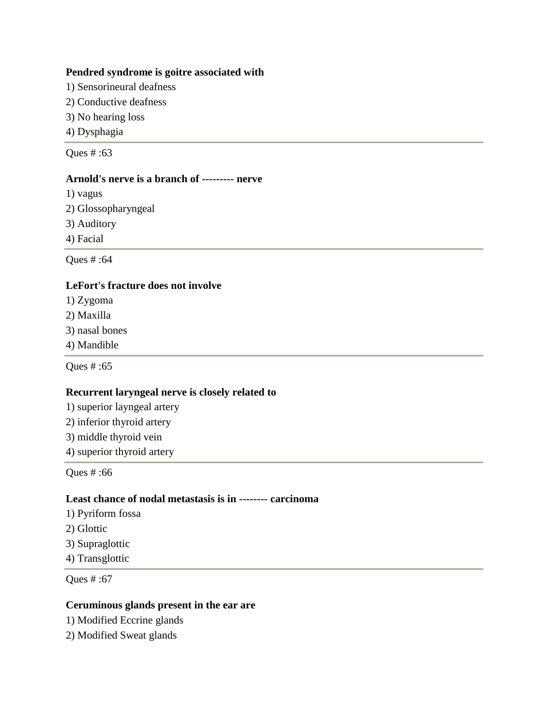#### **Pendred syndrome is goitre associated with**

- 1) Sensorineural deafness
- 2) Conductive deafness
- 3) No hearing loss
- 4) Dysphagia

Ques # :63

### **Arnold's nerve is a branch of --------- nerve**

- 1) vagus
- 2) Glossopharyngeal
- 3) Auditory
- 4) Facial

Ques # :64

### **LeFort's fracture does not involve**

- 1) Zygoma
- 2) Maxilla
- 3) nasal bones
- 4) Mandible

Ques # :65

### **Recurrent laryngeal nerve is closely related to**

- 1) superior layngeal artery
- 2) inferior thyroid artery
- 3) middle thyroid vein
- 4) superior thyroid artery

Ques # :66

#### **Least chance of nodal metastasis is in -------- carcinoma**

- 1) Pyriform fossa
- 2) Glottic
- 3) Supraglottic
- 4) Transglottic

Ques # :67

### **Ceruminous glands present in the ear are**

- 1) Modified Eccrine glands
- 2) Modified Sweat glands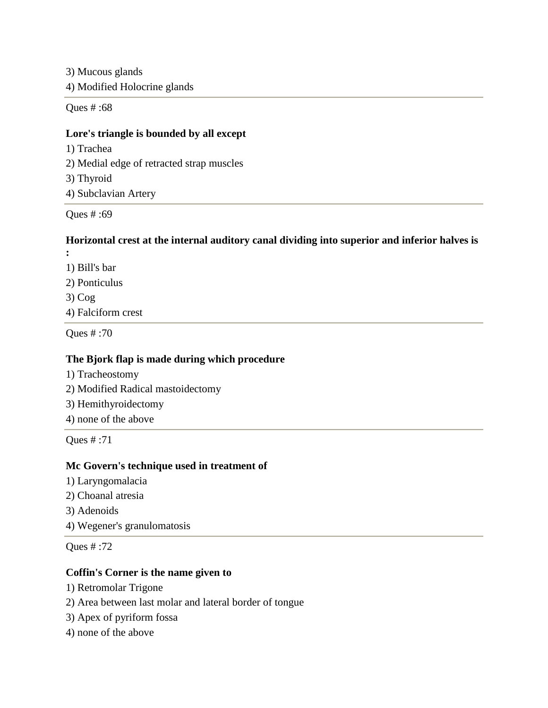3) Mucous glands 4) Modified Holocrine glands

Ques # :68

### **Lore's triangle is bounded by all except**

- 1) Trachea 2) Medial edge of retracted strap muscles
- 3) Thyroid
- 4) Subclavian Artery

Ques # :69

### **Horizontal crest at the internal auditory canal dividing into superior and inferior halves is**

- **:** 1) Bill's bar 2) Ponticulus
- 3) Cog
- 4) Falciform crest

Ques # :70

### **The Bjork flap is made during which procedure**

- 1) Tracheostomy
- 2) Modified Radical mastoidectomy
- 3) Hemithyroidectomy
- 4) none of the above

Ques # :71

### **Mc Govern's technique used in treatment of**

- 1) Laryngomalacia
- 2) Choanal atresia
- 3) Adenoids
- 4) Wegener's granulomatosis

Ques # :72

## **Coffin's Corner is the name given to**

- 1) Retromolar Trigone
- 2) Area between last molar and lateral border of tongue
- 3) Apex of pyriform fossa
- 4) none of the above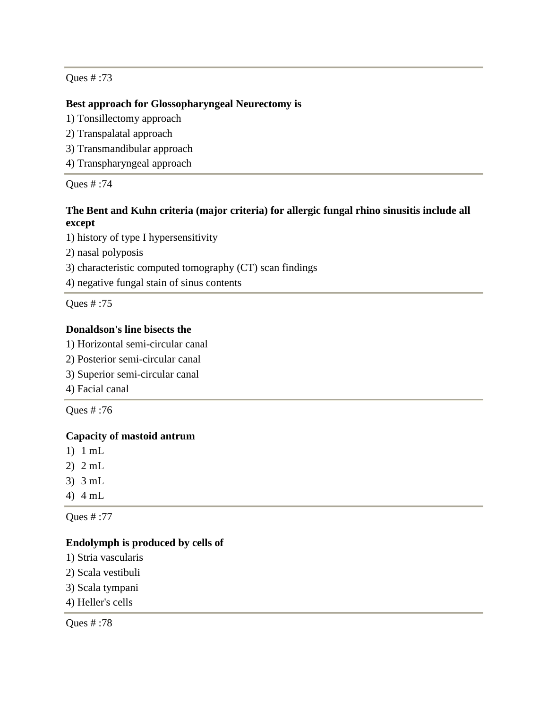### **Best approach for Glossopharyngeal Neurectomy is**

- 1) Tonsillectomy approach
- 2) Transpalatal approach
- 3) Transmandibular approach
- 4) Transpharyngeal approach

Ques # :74

## **The Bent and Kuhn criteria (major criteria) for allergic fungal rhino sinusitis include all except**

1) history of type I hypersensitivity

2) nasal polyposis

3) characteristic computed tomography (CT) scan findings

4) negative fungal stain of sinus contents

Ques # :75

## **Donaldson's line bisects the**

- 1) Horizontal semi-circular canal
- 2) Posterior semi-circular canal
- 3) Superior semi-circular canal
- 4) Facial canal

Ques # :76

### **Capacity of mastoid antrum**

- 1) 1 mL
- 2) 2 mL
- 3) 3 mL
- 4) 4 mL

Ques # :77

### **Endolymph is produced by cells of**

- 1) Stria vascularis
- 2) Scala vestibuli
- 3) Scala tympani
- 4) Heller's cells

Ques # :78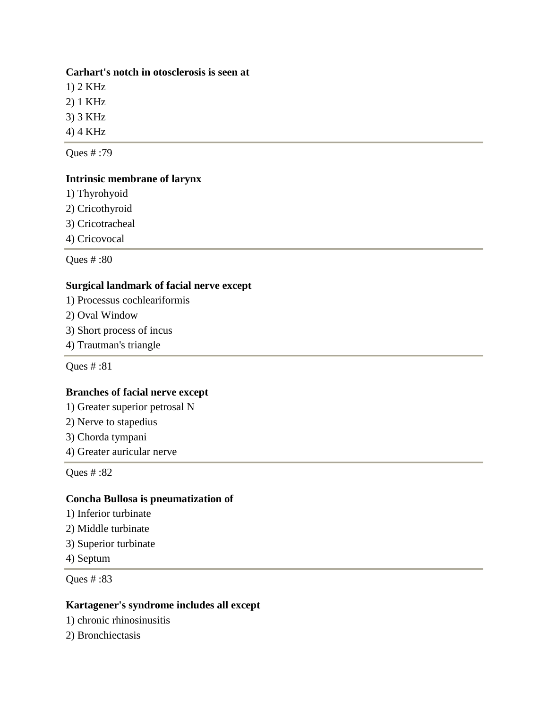### **Carhart's notch in otosclerosis is seen at**

1) 2 KHz

2) 1 KHz

3) 3 KHz

4) 4 KHz

Ques # :79

### **Intrinsic membrane of larynx**

1) Thyrohyoid

2) Cricothyroid

3) Cricotracheal

4) Cricovocal

Ques # :80

### **Surgical landmark of facial nerve except**

- 1) Processus cochleariformis
- 2) Oval Window
- 3) Short process of incus
- 4) Trautman's triangle

Ques # :81

### **Branches of facial nerve except**

1) Greater superior petrosal N

- 2) Nerve to stapedius
- 3) Chorda tympani
- 4) Greater auricular nerve

Ques # :82

### **Concha Bullosa is pneumatization of**

- 1) Inferior turbinate
- 2) Middle turbinate
- 3) Superior turbinate

4) Septum

Ques # :83

### **Kartagener's syndrome includes all except**

1) chronic rhinosinusitis

2) Bronchiectasis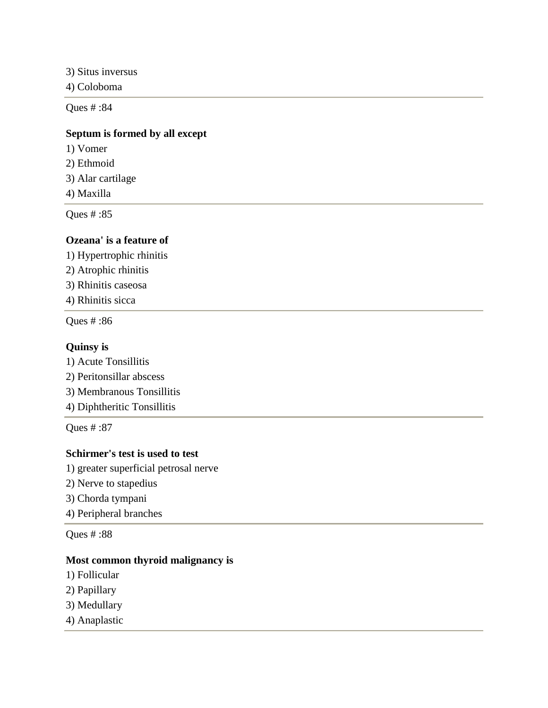3) Situs inversus

4) Coloboma

Ques # :84

### **Septum is formed by all except**

- 1) Vomer
- 2) Ethmoid
- 3) Alar cartilage
- 4) Maxilla

Ques # :85

### **Ozeana' is a feature of**

1) Hypertrophic rhinitis 2) Atrophic rhinitis 3) Rhinitis caseosa

4) Rhinitis sicca

Ques # :86

#### **Quinsy is**

1) Acute Tonsillitis 2) Peritonsillar abscess 3) Membranous Tonsillitis 4) Diphtheritic Tonsillitis

Ques # :87

### **Schirmer's test is used to test**

1) greater superficial petrosal nerve

- 2) Nerve to stapedius
- 3) Chorda tympani
- 4) Peripheral branches

Ques # :88

### **Most common thyroid malignancy is**

- 1) Follicular
- 2) Papillary
- 3) Medullary
- 4) Anaplastic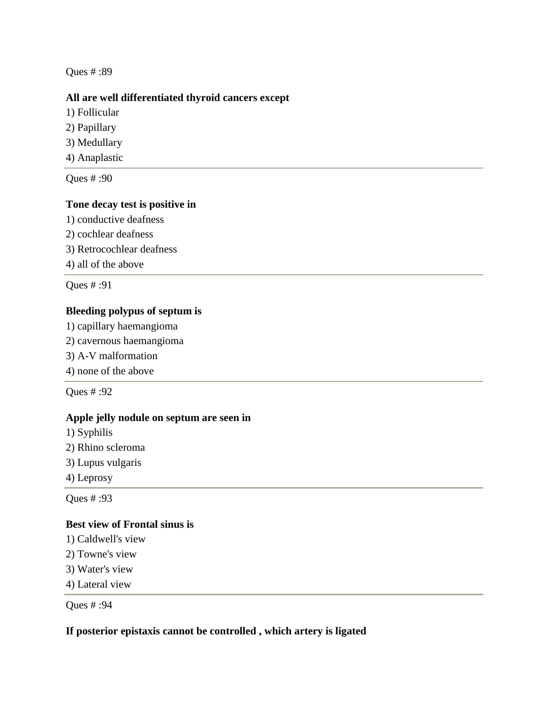#### **All are well differentiated thyroid cancers except**

- 1) Follicular
- 2) Papillary
- 3) Medullary
- 4) Anaplastic

Ques # :90

### **Tone decay test is positive in**

- 1) conductive deafness
- 2) cochlear deafness
- 3) Retrocochlear deafness
- 4) all of the above

Ques # :91

### **Bleeding polypus of septum is**

- 1) capillary haemangioma
- 2) cavernous haemangioma
- 3) A-V malformation
- 4) none of the above

Ques # :92

#### **Apple jelly nodule on septum are seen in**

- 1) Syphilis
- 2) Rhino scleroma
- 3) Lupus vulgaris
- 4) Leprosy

Ques # :93

### **Best view of Frontal sinus is**

- 1) Caldwell's view
- 2) Towne's view
- 3) Water's view
- 4) Lateral view

Ques # :94

### **If posterior epistaxis cannot be controlled , which artery is ligated**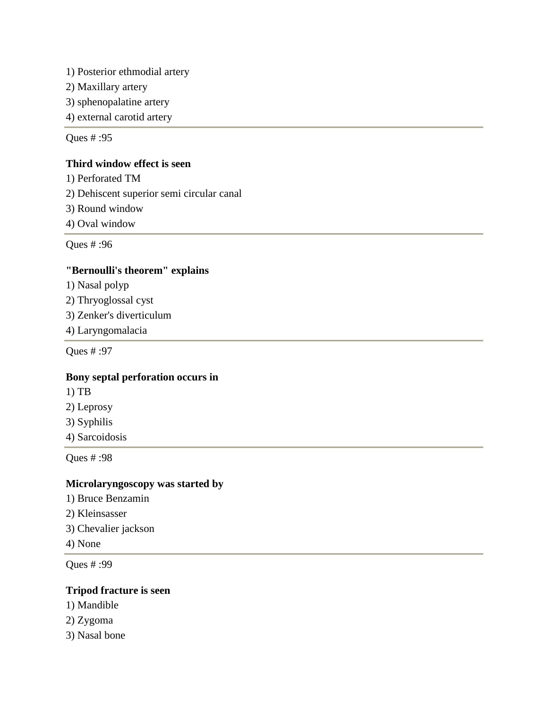1) Posterior ethmodial artery

2) Maxillary artery

3) sphenopalatine artery

4) external carotid artery

Ques # :95

### **Third window effect is seen**

1) Perforated TM

2) Dehiscent superior semi circular canal

3) Round window

4) Oval window

Ques # :96

### **"Bernoulli's theorem" explains**

1) Nasal polyp

2) Thryoglossal cyst

3) Zenker's diverticulum

4) Laryngomalacia

Ques # :97

### **Bony septal perforation occurs in**

- 1) TB
- 2) Leprosy
- 3) Syphilis

4) Sarcoidosis

Ques # :98

## **Microlaryngoscopy was started by**

- 1) Bruce Benzamin
- 2) Kleinsasser
- 3) Chevalier jackson
- 4) None

Ques # :99

#### **Tripod fracture is seen**

- 1) Mandible
- 2) Zygoma
- 3) Nasal bone